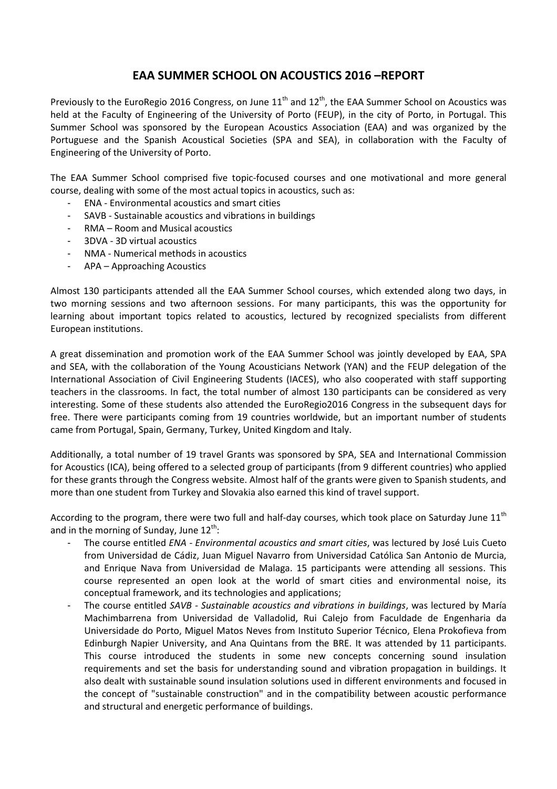## **EAA SUMMER SCHOOL ON ACOUSTICS 2016 –REPORT**

Previously to the EuroRegio 2016 Congress, on June  $11<sup>th</sup>$  and  $12<sup>th</sup>$ , the EAA Summer School on Acoustics was held at the Faculty of Engineering of the University of Porto (FEUP), in the city of Porto, in Portugal. This Summer School was sponsored by the European Acoustics Association (EAA) and was organized by the Portuguese and the Spanish Acoustical Societies (SPA and SEA), in collaboration with the Faculty of Engineering of the University of Porto.

The EAA Summer School comprised five topic-focused courses and one motivational and more general course, dealing with some of the most actual topics in acoustics, such as:

- ENA Environmental acoustics and smart cities
- SAVB Sustainable acoustics and vibrations in buildings
- RMA Room and Musical acoustics
- 3DVA 3D virtual acoustics
- NMA Numerical methods in acoustics
- APA Approaching Acoustics

Almost 130 participants attended all the EAA Summer School courses, which extended along two days, in two morning sessions and two afternoon sessions. For many participants, this was the opportunity for learning about important topics related to acoustics, lectured by recognized specialists from different European institutions.

A great dissemination and promotion work of the EAA Summer School was jointly developed by EAA, SPA and SEA, with the collaboration of the Young Acousticians Network (YAN) and the FEUP delegation of the International Association of Civil Engineering Students (IACES), who also cooperated with staff supporting teachers in the classrooms. In fact, the total number of almost 130 participants can be considered as very interesting. Some of these students also attended the EuroRegio2016 Congress in the subsequent days for free. There were participants coming from 19 countries worldwide, but an important number of students came from Portugal, Spain, Germany, Turkey, United Kingdom and Italy.

Additionally, a total number of 19 travel Grants was sponsored by SPA, SEA and International Commission for Acoustics (ICA), being offered to a selected group of participants (from 9 different countries) who applied for these grants through the Congress website. Almost half of the grants were given to Spanish students, and more than one student from Turkey and Slovakia also earned this kind of travel support.

According to the program, there were two full and half-day courses, which took place on Saturday June  $11<sup>th</sup>$ and in the morning of Sunday, June  $12^{th}$ :

- The course entitled *ENA - Environmental acoustics and smart cities*, was lectured by José Luis Cueto from Universidad de Cádiz, Juan Miguel Navarro from Universidad Católica San Antonio de Murcia, and Enrique Nava from Universidad de Malaga. 15 participants were attending all sessions. This course represented an open look at the world of smart cities and environmental noise, its conceptual framework, and its technologies and applications;
- The course entitled *SAVB - Sustainable acoustics and vibrations in buildings*, was lectured by María Machimbarrena from Universidad de Valladolid, Rui Calejo from Faculdade de Engenharia da Universidade do Porto, Miguel Matos Neves from Instituto Superior Técnico, Elena Prokofieva from Edinburgh Napier University, and Ana Quintans from the BRE. It was attended by 11 participants. This course introduced the students in some new concepts concerning sound insulation requirements and set the basis for understanding sound and vibration propagation in buildings. It also dealt with sustainable sound insulation solutions used in different environments and focused in the concept of "sustainable construction" and in the compatibility between acoustic performance and structural and energetic performance of buildings.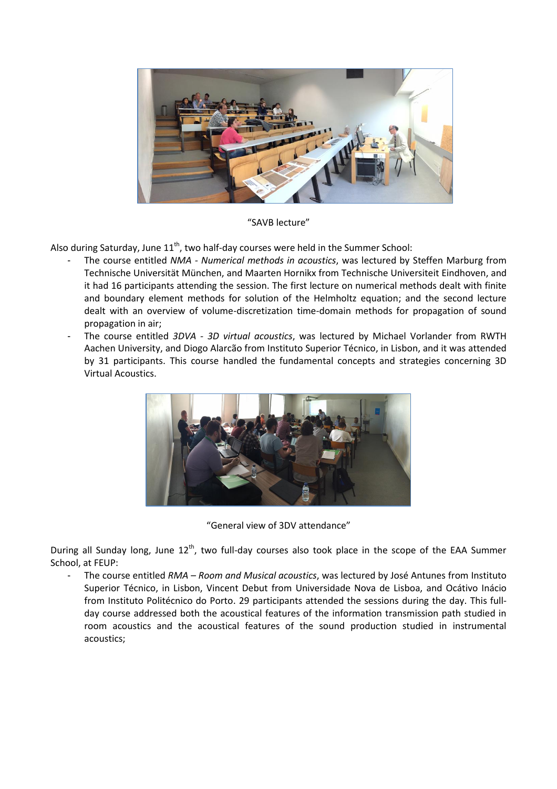

"SAVB lecture"

Also during Saturday, June  $11^{\text{th}}$ , two half-day courses were held in the Summer School:

- The course entitled *NMA - Numerical methods in acoustics*, was lectured by Steffen Marburg from Technische Universität München, and Maarten Hornikx from Technische Universiteit Eindhoven, and it had 16 participants attending the session. The first lecture on numerical methods dealt with finite and boundary element methods for solution of the Helmholtz equation; and the second lecture dealt with an overview of volume-discretization time-domain methods for propagation of sound propagation in air;
- The course entitled *3DVA - 3D virtual acoustics*, was lectured by Michael Vorlander from RWTH Aachen University, and Diogo Alarcão from Instituto Superior Técnico, in Lisbon, and it was attended by 31 participants. This course handled the fundamental concepts and strategies concerning 3D Virtual Acoustics.



"General view of 3DV attendance"

During all Sunday long, June 12<sup>th</sup>, two full-day courses also took place in the scope of the EAA Summer School, at FEUP:

- The course entitled *RMA – Room and Musical acoustics*, was lectured by José Antunes from Instituto Superior Técnico, in Lisbon, Vincent Debut from Universidade Nova de Lisboa, and Ocátivo Inácio from Instituto Politécnico do Porto. 29 participants attended the sessions during the day. This fullday course addressed both the acoustical features of the information transmission path studied in room acoustics and the acoustical features of the sound production studied in instrumental acoustics;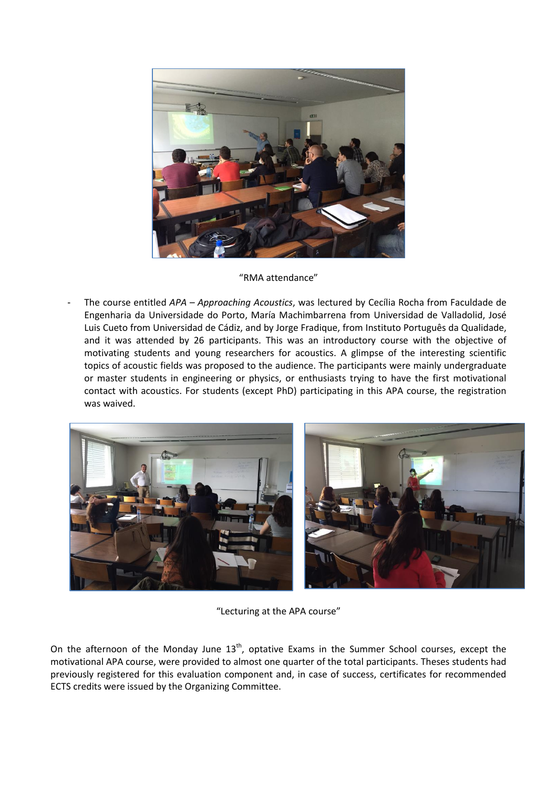

## "RMA attendance"

- The course entitled *APA – Approaching Acoustics*, was lectured by Cecília Rocha from Faculdade de Engenharia da Universidade do Porto, María Machimbarrena from Universidad de Valladolid, José Luis Cueto from Universidad de Cádiz, and by Jorge Fradique, from Instituto Português da Qualidade, and it was attended by 26 participants. This was an introductory course with the objective of motivating students and young researchers for acoustics. A glimpse of the interesting scientific topics of acoustic fields was proposed to the audience. The participants were mainly undergraduate or master students in engineering or physics, or enthusiasts trying to have the first motivational contact with acoustics. For students (except PhD) participating in this APA course, the registration was waived.



"Lecturing at the APA course"

On the afternoon of the Monday June 13<sup>th</sup>, optative Exams in the Summer School courses, except the motivational APA course, were provided to almost one quarter of the total participants. Theses students had previously registered for this evaluation component and, in case of success, certificates for recommended ECTS credits were issued by the Organizing Committee.